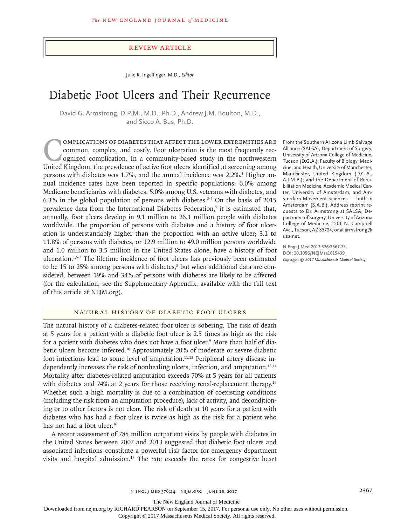#### Review Article

Julie R. Ingelfinger, M.D., *Editor*

# Diabetic Foot Ulcers and Their Recurrence

David G. Armstrong, D.P.M., M.D., Ph.D., Andrew J.M. Boulton, M.D., and Sicco A. Bus, Ph.D.

Complications of diabetes that affect the lower extremities are common, complex, and costly. Foot ulceration is the most frequently recognized complication. In a community-based study in the northwestern United Kingdom, the prevalence of active foot ulcers identified at screening among persons with diabetes was 1.7%, and the annual incidence was 2.2%.<sup>1</sup> Higher annual incidence rates have been reported in specific populations: 6.0% among Medicare beneficiaries with diabetes, 5.0% among U.S. veterans with diabetes, and 6.3% in the global population of persons with diabetes. $2-4$  On the basis of 2015 prevalence data from the International Diabetes Federation,<sup>5</sup> it is estimated that, annually, foot ulcers develop in 9.1 million to 26.1 million people with diabetes worldwide. The proportion of persons with diabetes and a history of foot ulceration is understandably higher than the proportion with an active ulcer; 3.1 to 11.8% of persons with diabetes, or 12.9 million to 49.0 million persons worldwide and 1.0 million to 3.5 million in the United States alone, have a history of foot ulceration.1,5-7 The lifetime incidence of foot ulcers has previously been estimated to be 15 to 25% among persons with diabetes,<sup>8</sup> but when additional data are considered, between 19% and 34% of persons with diabetes are likely to be affected (for the calculation, see the Supplementary Appendix, available with the full text of this article at NEJM.org).

From the Southern Arizona Limb Salvage Alliance (SALSA), Department of Surgery, University of Arizona College of Medicine, Tucson (D.G.A.); Faculty of Biology, Medicine, and Health, University of Manchester, Manchester, United Kingdom (D.G.A., A.J.M.B.); and the Department of Rehabilitation Medicine, Academic Medical Center, University of Amsterdam, and Amsterdam Movement Sciences — both in Amsterdam (S.A.B.). Address reprint requests to Dr. Armstrong at SALSA, Department of Surgery, University of Arizona College of Medicine, 1501 N. Campbell Ave., Tucson, AZ 85724, or at armstrong@ usa.net.

**N Engl J Med 2017;376:2367-75. DOI: 10.1056/NEJMra1615439** *Copyright © 2017 Massachusetts Medical Society.*

# Natural History of Diabetic Foot Ulcers

The natural history of a diabetes-related foot ulcer is sobering. The risk of death at 5 years for a patient with a diabetic foot ulcer is 2.5 times as high as the risk for a patient with diabetes who does not have a foot ulcer.<sup>9</sup> More than half of diabetic ulcers become infected.<sup>10</sup> Approximately 20% of moderate or severe diabetic foot infections lead to some level of amputation.<sup>11,12</sup> Peripheral artery disease independently increases the risk of nonhealing ulcers, infection, and amputation.13,14 Mortality after diabetes-related amputation exceeds 70% at 5 years for all patients with diabetes and 74% at 2 years for those receiving renal-replacement therapy.<sup>15</sup> Whether such a high mortality is due to a combination of coexisting conditions (including the risk from an amputation procedure), lack of activity, and deconditioning or to other factors is not clear. The risk of death at 10 years for a patient with diabetes who has had a foot ulcer is twice as high as the risk for a patient who has not had a foot ulcer.<sup>16</sup>

A recent assessment of 785 million outpatient visits by people with diabetes in the United States between 2007 and 2013 suggested that diabetic foot ulcers and associated infections constitute a powerful risk factor for emergency department visits and hospital admission.<sup>17</sup> The rate exceeds the rates for congestive heart

n engl j med 376;24 nejm.org June 15, 2017 2367

The New England Journal of Medicine

Downloaded from nejm.org by RICHARD PEARSON on September 15, 2017. For personal use only. No other uses without permission.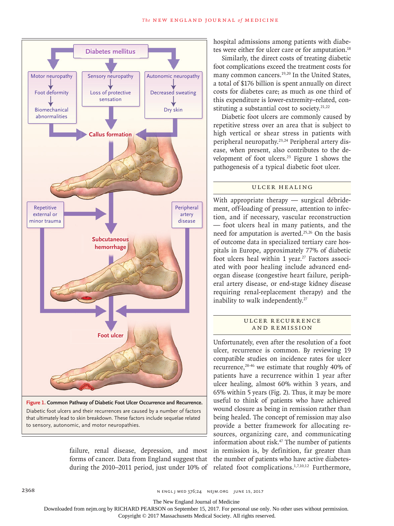

failure, renal disease, depression, and most forms of cancer. Data from England suggest that during the 2010–2011 period, just under 10% of

hospital admissions among patients with diabetes were either for ulcer care or for amputation.<sup>18</sup>

Similarly, the direct costs of treating diabetic foot complications exceed the treatment costs for many common cancers.<sup>19,20</sup> In the United States, a total of \$176 billion is spent annually on direct costs for diabetes care; as much as one third of this expenditure is lower-extremity–related, constituting a substantial cost to society. $21,22$ 

Diabetic foot ulcers are commonly caused by repetitive stress over an area that is subject to high vertical or shear stress in patients with peripheral neuropathy.23,24 Peripheral artery disease, when present, also contributes to the development of foot ulcers.23 Figure 1 shows the pathogenesis of a typical diabetic foot ulcer.

## Ulcer Healing

With appropriate therapy — surgical débridement, off-loading of pressure, attention to infection, and if necessary, vascular reconstruction — foot ulcers heal in many patients, and the need for amputation is averted.<sup>25,26</sup> On the basis of outcome data in specialized tertiary care hospitals in Europe, approximately 77% of diabetic foot ulcers heal within 1 year.<sup>27</sup> Factors associated with poor healing include advanced endorgan disease (congestive heart failure, peripheral artery disease, or end-stage kidney disease requiring renal-replacement therapy) and the inability to walk independently.<sup>27</sup>

# ULCER RECURRENCE and Remission

Unfortunately, even after the resolution of a foot ulcer, recurrence is common. By reviewing 19 compatible studies on incidence rates for ulcer recurrence,28-46 we estimate that roughly 40% of patients have a recurrence within 1 year after ulcer healing, almost 60% within 3 years, and 65% within 5 years (Fig. 2). Thus, it may be more useful to think of patients who have achieved wound closure as being in remission rather than being healed. The concept of remission may also provide a better framework for allocating resources, organizing care, and communicating information about risk.<sup>47</sup> The number of patients in remission is, by definition, far greater than the number of patients who have active diabetesrelated foot complications.1,7,10,12 Furthermore,

The New England Journal of Medicine

Downloaded from nejm.org by RICHARD PEARSON on September 15, 2017. For personal use only. No other uses without permission.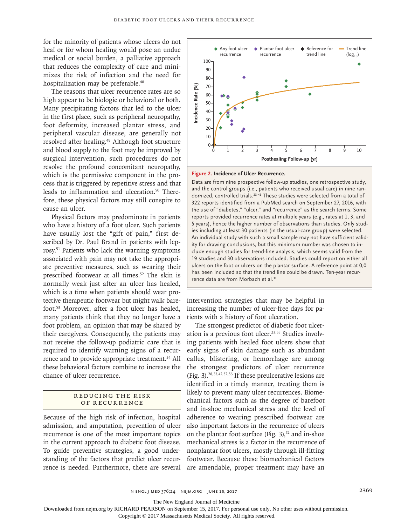for the minority of patients whose ulcers do not heal or for whom healing would pose an undue medical or social burden, a palliative approach that reduces the complexity of care and minimizes the risk of infection and the need for hospitalization may be preferable.<sup>48</sup>

The reasons that ulcer recurrence rates are so high appear to be biologic or behavioral or both. Many precipitating factors that led to the ulcer in the first place, such as peripheral neuropathy, foot deformity, increased plantar stress, and peripheral vascular disease, are generally not resolved after healing.<sup>49</sup> Although foot structure and blood supply to the foot may be improved by surgical intervention, such procedures do not resolve the profound concomitant neuropathy, which is the permissive component in the process that is triggered by repetitive stress and that leads to inflammation and ulceration.<sup>50</sup> Therefore, these physical factors may still conspire to cause an ulcer.

Physical factors may predominate in patients who have a history of a foot ulcer. Such patients have usually lost the "gift of pain," first described by Dr. Paul Brand in patients with leprosy.51 Patients who lack the warning symptoms associated with pain may not take the appropriate preventive measures, such as wearing their prescribed footwear at all times.52 The skin is normally weak just after an ulcer has healed, which is a time when patients should wear protective therapeutic footwear but might walk barefoot.53 Moreover, after a foot ulcer has healed, many patients think that they no longer have a foot problem, an opinion that may be shared by their caregivers. Consequently, the patients may not receive the follow-up podiatric care that is required to identify warning signs of a recurrence and to provide appropriate treatment.<sup>54</sup> All these behavioral factors combine to increase the chance of ulcer recurrence.

## R educing the R isk of Recurrence

Because of the high risk of infection, hospital admission, and amputation, prevention of ulcer recurrence is one of the most important topics in the current approach to diabetic foot disease. To guide preventive strategies, a good understanding of the factors that predict ulcer recurrence is needed. Furthermore, there are several



#### **Figure 2. Incidence of Ulcer Recurrence.**

Data are from nine prospective follow-up studies, one retrospective study, and the control groups (i.e., patients who received usual care) in nine randomized, controlled trials.<sup>28-46</sup> These studies were selected from a total of 322 reports identified from a PubMed search on September 27, 2016, with the use of "diabetes," "ulcer," and "recurrence" as the search terms. Some reports provided recurrence rates at multiple years (e.g., rates at 1, 3, and 5 years), hence the higher number of observations than studies. Only studies including at least 30 patients (in the usual-care group) were selected. An individual study with such a small sample may not have sufficient validity for drawing conclusions, but this minimum number was chosen to include enough studies for trend-line analysis, which seems valid from the 19 studies and 30 observations included. Studies could report on either all ulcers on the foot or ulcers on the plantar surface. A reference point at 0,0 has been included so that the trend line could be drawn. Ten-year recurrence data are from the footness been included so that been included and the control groups (i.e., patients ( $\frac{234}{10}$  and the control groups (i.e., patients domized, controlled trials.<sup>28.46</sup> These of "diabetes," "ulce

intervention strategies that may be helpful in increasing the number of ulcer-free days for patients with a history of foot ulceration.

The strongest predictor of diabetic foot ulceration is a previous foot ulcer.<sup>23,55</sup> Studies involving patients with healed foot ulcers show that early signs of skin damage such as abundant callus, blistering, or hemorrhage are among the strongest predictors of ulcer recurrence (Fig. 3).28,33,42,52,56 If these preulcerative lesions are identified in a timely manner, treating them is likely to prevent many ulcer recurrences. Biomechanical factors such as the degree of barefoot and in-shoe mechanical stress and the level of adherence to wearing prescribed footwear are also important factors in the recurrence of ulcers on the plantar foot surface (Fig. 3), $52$  and in-shoe mechanical stress is a factor in the recurrence of nonplantar foot ulcers, mostly through ill-fitting footwear. Because these biomechanical factors are amendable, proper treatment may have an

The New England Journal of Medicine

Downloaded from nejm.org by RICHARD PEARSON on September 15, 2017. For personal use only. No other uses without permission.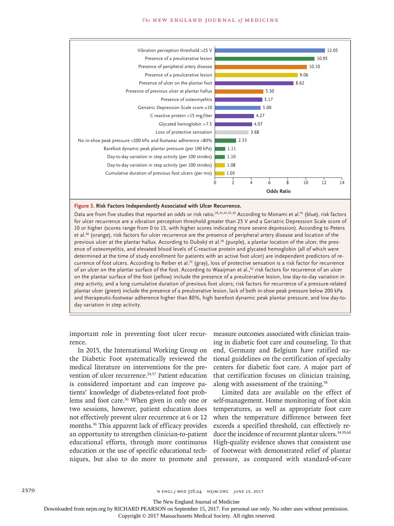#### **The NEW ENGLAND JOURNAL of MEDICINE**



#### **Figure 3. Risk Factors Independently Associated with Ulcer Recurrence.**

Data are from five studies that reported an odds or risk ratio.28,33,42,52,56 According to Monami et al.42 (blue), risk factors for ulcer recurrence are a vibration perception threshold greater than 25 V and a Geriatric Depression Scale score of 10 or higher (scores range from 0 to 15, with higher scores indicating more severe depression). According to Peters et al.56 (orange), risk factors for ulcer recurrence are the presence of peripheral artery disease and location of the previous ulcer at the plantar hallux. According to Dubský et al.<sup>28</sup> (purple), a plantar location of the ulcer, the presence of osteomyelitis, and elevated blood levels of C-reactive protein and glycated hemoglobin (all of which were determined at the time of study enrollment for patients with an active foot ulcer) are independent predictors of recurrence of foot ulcers. According to Reiber et al.<sup>33</sup> (gray), loss of protective sensation is a risk factor for recurrence of an ulcer on the plantar surface of the foot. According to Waaijman et al.,<sup>52</sup> risk factors for recurrence of an ulcer on the plantar surface of the foot (yellow) include the presence of a preulcerative lesion, low day-to-day variation in step activity, and a long cumulative duration of previous foot ulcers; risk factors for recurrence of a pressure-related plantar ulcer (green) include the presence of a preulcerative lesion, lack of both in-shoe peak pressure below 200 kPa and therapeutic-footwear adherence higher than 80%, high barefoot dynamic peak plantar pressure, and low day-today variation in step activity.

important role in preventing foot ulcer recurrence.

In 2015, the International Working Group on the Diabetic Foot systematically reviewed the medical literature on interventions for the prevention of ulcer recurrence.<sup>24,57</sup> Patient education is considered important and can improve patients' knowledge of diabetes-related foot problems and foot care.36 When given in only one or two sessions, however, patient education does not effectively prevent ulcer recurrence at 6 or 12 months.36 This apparent lack of efficacy provides an opportunity to strengthen clinician-to-patient educational efforts, through more continuous education or the use of specific educational techniques, but also to do more to promote and

measure outcomes associated with clinician training in diabetic foot care and counseling. To that end, Germany and Belgium have ratified national guidelines on the certification of specialty centers for diabetic foot care. A major part of that certification focuses on clinician training, along with assessment of the training.58

Limited data are available on the effect of self-management. Home monitoring of foot skin temperatures, as well as appropriate foot care when the temperature difference between feet exceeds a specified threshold, can effectively reduce the incidence of recurrent plantar ulcers.<sup>34,59,60</sup> High-quality evidence shows that consistent use of footwear with demonstrated relief of plantar pressure, as compared with standard-of-care

2370 **NENGL JUNE 2370** NENGL JMED 376;24 NEIM.ORG JUNE 15, 2017

The New England Journal of Medicine

Downloaded from nejm.org by RICHARD PEARSON on September 15, 2017. For personal use only. No other uses without permission.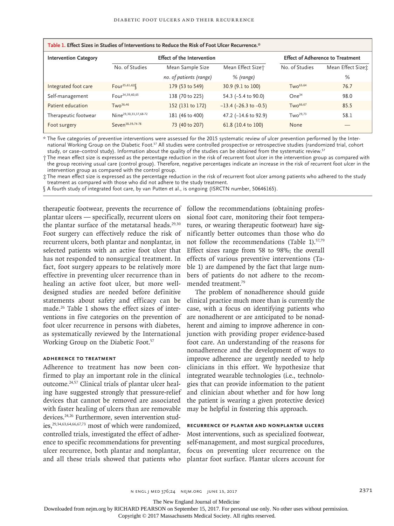| Table 1. Effect Sizes in Studies of Interventions to Reduce the Risk of Foot Ulcer Recurrence.* |                                   |                         |                               |                                         |                    |
|-------------------------------------------------------------------------------------------------|-----------------------------------|-------------------------|-------------------------------|-----------------------------------------|--------------------|
| <b>Intervention Category</b>                                                                    | <b>Effect of the Intervention</b> |                         |                               | <b>Effect of Adherence to Treatment</b> |                    |
|                                                                                                 | No. of Studies                    | Mean Sample Size        | Mean Effect Sizet             | No. of Studies                          | Mean Effect Sizet: |
|                                                                                                 |                                   | no. of patients (range) | % (range)                     |                                         | %                  |
| Integrated foot care                                                                            | Four <sup>35,61,62</sup>          | 179 (53 to 549)         | 30.9 (9.1 to 100)             | Tw <sub>0</sub> <sup>63,64</sup>        | 76.7               |
| Self-management                                                                                 | Four <sup>34,59,60,65</sup>       | 138 (70 to 225)         | 54.3 (-5.4 to 90.0)           | One <sup>34</sup>                       | 98.0               |
| Patient education                                                                               | TwO <sup>36,46</sup>              | 152 (131 to 172)        | $-13.4$ ( $-26.3$ to $-0.5$ ) | $TwO^{66,67}$                           | 85.5               |
| Therapeutic footwear                                                                            | Nine <sup>29,30,33,37,68-72</sup> | 181 (46 to 400)         | 47.2 (-14.6 to 92.9)          | $Two^{29,73}$                           | 58.1               |
| Foot surgery                                                                                    | Seven <sup>38,39,74-78</sup>      | 73 (40 to 207)          | 61.8 (10.4 to 100)            | None                                    |                    |

\* The five categories of preventive interventions were assessed for the 2015 systematic review of ulcer prevention performed by the International Working Group on the Diabetic Foot.57 All studies were controlled prospective or retrospective studies (randomized trial, cohort study, or case–control study). Information about the quality of the studies can be obtained from the systematic review.<sup>57</sup>

† The mean effect size is expressed as the percentage reduction in the risk of recurrent foot ulcer in the intervention group as compared with the group receiving usual care (control group). Therefore, negative percentages indicate an increase in the risk of recurrent foot ulcer in the intervention group as compared with the control group.

‡ The mean effect size is expressed as the percentage reduction in the risk of recurrent foot ulcer among patients who adhered to the study treatment as compared with those who did not adhere to the study treatment.

§ A fourth study of integrated foot care, by van Putten et al., is ongoing (ISRCTN number, 50646165).

plantar ulcers — specifically, recurrent ulcers on the plantar surface of the metatarsal heads. $29,30$ Foot surgery can effectively reduce the risk of recurrent ulcers, both plantar and nonplantar, in selected patients with an active foot ulcer that has not responded to nonsurgical treatment. In fact, foot surgery appears to be relatively more effective in preventing ulcer recurrence than in healing an active foot ulcer, but more welldesigned studies are needed before definitive statements about safety and efficacy can be made.26 Table 1 shows the effect sizes of interventions in five categories on the prevention of foot ulcer recurrence in persons with diabetes, as systematically reviewed by the International Working Group on the Diabetic Foot.<sup>57</sup>

# **Adherence to Treatment**

Adherence to treatment has now been confirmed to play an important role in the clinical outcome.24,57 Clinical trials of plantar ulcer healing have suggested strongly that pressure-relief devices that cannot be removed are associated with faster healing of ulcers than are removable devices.24,26 Furthermore, seven intervention studies,29,34,63,64,66,67,73 most of which were randomized, controlled trials, investigated the effect of adherence to specific recommendations for preventing ulcer recurrence, both plantar and nonplantar, and all these trials showed that patients who

therapeutic footwear, prevents the recurrence of follow the recommendations (obtaining professional foot care, monitoring their foot temperatures, or wearing therapeutic footwear) have significantly better outcomes than those who do not follow the recommendations (Table 1).<sup>57,79</sup> Effect sizes range from 58 to 98%; the overall effects of various preventive interventions (Table 1) are dampened by the fact that large numbers of patients do not adhere to the recommended treatment.79

> The problem of nonadherence should guide clinical practice much more than is currently the case, with a focus on identifying patients who are nonadherent or are anticipated to be nonadherent and aiming to improve adherence in conjunction with providing proper evidence-based foot care. An understanding of the reasons for nonadherence and the development of ways to improve adherence are urgently needed to help clinicians in this effort. We hypothesize that integrated wearable technologies (i.e., technologies that can provide information to the patient and clinician about whether and for how long the patient is wearing a given protective device) may be helpful in fostering this approach.

# **Recurrence of Plantar and Nonplantar Ulcers**

Most interventions, such as specialized footwear, self-management, and most surgical procedures, focus on preventing ulcer recurrence on the plantar foot surface. Plantar ulcers account for

n engl j med 376;24 nejm.org June 15, 2017 2371

The New England Journal of Medicine

Downloaded from nejm.org by RICHARD PEARSON on September 15, 2017. For personal use only. No other uses without permission.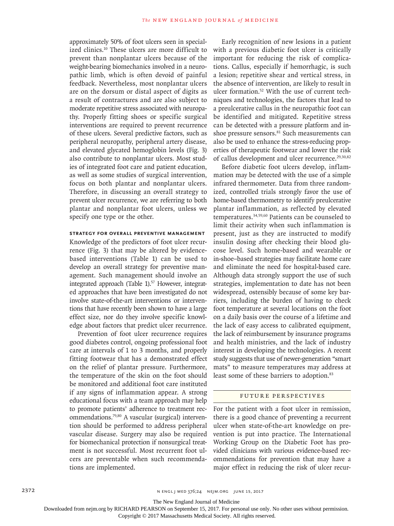approximately 50% of foot ulcers seen in specialized clinics.10 These ulcers are more difficult to prevent than nonplantar ulcers because of the weight-bearing biomechanics involved in a neuropathic limb, which is often devoid of painful feedback. Nevertheless, most nonplantar ulcers are on the dorsum or distal aspect of digits as a result of contractures and are also subject to moderate repetitive stress associated with neuropathy. Properly fitting shoes or specific surgical interventions are required to prevent recurrence of these ulcers. Several predictive factors, such as peripheral neuropathy, peripheral artery disease, and elevated glycated hemoglobin levels (Fig. 3) also contribute to nonplantar ulcers. Most studies of integrated foot care and patient education, as well as some studies of surgical intervention, focus on both plantar and nonplantar ulcers. Therefore, in discussing an overall strategy to prevent ulcer recurrence, we are referring to both plantar and nonplantar foot ulcers, unless we specify one type or the other.

## **Strategy for Overall Preventive Management**

Knowledge of the predictors of foot ulcer recurrence (Fig. 3) that may be altered by evidencebased interventions (Table 1) can be used to develop an overall strategy for preventive management. Such management should involve an integrated approach (Table 1).<sup>57</sup> However, integrated approaches that have been investigated do not involve state-of-the-art interventions or interventions that have recently been shown to have a large effect size, nor do they involve specific knowledge about factors that predict ulcer recurrence.

Prevention of foot ulcer recurrence requires good diabetes control, ongoing professional foot care at intervals of 1 to 3 months, and properly fitting footwear that has a demonstrated effect on the relief of plantar pressure. Furthermore, the temperature of the skin on the foot should be monitored and additional foot care instituted if any signs of inflammation appear. A strong educational focus with a team approach may help to promote patients' adherence to treatment recommendations.79,80 A vascular (surgical) intervention should be performed to address peripheral vascular disease. Surgery may also be required for biomechanical protection if nonsurgical treatment is not successful. Most recurrent foot ulcers are preventable when such recommendations are implemented.

Early recognition of new lesions in a patient with a previous diabetic foot ulcer is critically important for reducing the risk of complications. Callus, especially if hemorrhagic, is such a lesion; repetitive shear and vertical stress, in the absence of intervention, are likely to result in ulcer formation.<sup>52</sup> With the use of current techniques and technologies, the factors that lead to a preulcerative callus in the neuropathic foot can be identified and mitigated. Repetitive stress can be detected with a pressure platform and inshoe pressure sensors.<sup>81</sup> Such measurements can also be used to enhance the stress-reducing properties of therapeutic footwear and lower the risk of callus development and ulcer recurrence.<sup>29,30,82</sup>

Before diabetic foot ulcers develop, inflammation may be detected with the use of a simple infrared thermometer. Data from three randomized, controlled trials strongly favor the use of home-based thermometry to identify preulcerative plantar inflammation, as reflected by elevated temperatures.34,59,60 Patients can be counseled to limit their activity when such inflammation is present, just as they are instructed to modify insulin dosing after checking their blood glucose level. Such home-based and wearable or in-shoe–based strategies may facilitate home care and eliminate the need for hospital-based care. Although data strongly support the use of such strategies, implementation to date has not been widespread, ostensibly because of some key barriers, including the burden of having to check foot temperature at several locations on the foot on a daily basis over the course of a lifetime and the lack of easy access to calibrated equipment, the lack of reimbursement by insurance programs and health ministries, and the lack of industry interest in developing the technologies. A recent study suggests that use of newer-generation "smart mats" to measure temperatures may address at least some of these barriers to adoption.<sup>83</sup>

## Future Perspectives

For the patient with a foot ulcer in remission, there is a good chance of preventing a recurrent ulcer when state-of-the-art knowledge on prevention is put into practice. The International Working Group on the Diabetic Foot has provided clinicians with various evidence-based recommendations for prevention that may have a major effect in reducing the risk of ulcer recur-

The New England Journal of Medicine

Downloaded from nejm.org by RICHARD PEARSON on September 15, 2017. For personal use only. No other uses without permission.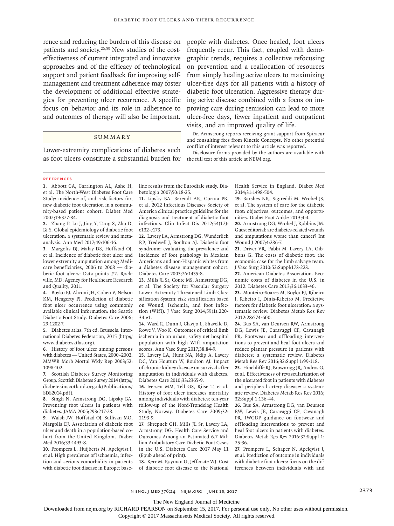patients and society.<sup>26,53</sup> New studies of the costeffectiveness of current integrated and innovative approaches and of the efficacy of technological support and patient feedback for improving selfmanagement and treatment adherence may foster the development of additional effective strategies for preventing ulcer recurrence. A specific focus on behavior and its role in adherence to and outcomes of therapy will also be important.

# **SUMMARY**

Lower-extremity complications of diabetes such as foot ulcers constitute a substantial burden for

rence and reducing the burden of this disease on people with diabetes. Once healed, foot ulcers frequently recur. This fact, coupled with demographic trends, requires a collective refocusing on prevention and a reallocation of resources from simply healing active ulcers to maximizing ulcer-free days for all patients with a history of diabetic foot ulceration. Aggressive therapy during active disease combined with a focus on improving care during remission can lead to more ulcer-free days, fewer inpatient and outpatient visits, and an improved quality of life.

> Dr. Armstrong reports receiving grant support from Spiracur and consulting fees from Kinetic Concepts. No other potential conflict of interest relevant to this article was reported.

> Disclosure forms provided by the authors are available with the full text of this article at NEJM.org.

#### **References**

**1.** Abbott CA, Carrington AL, Ashe H, et al. The North-West Diabetes Foot Care Study: incidence of, and risk factors for, new diabetic foot ulceration in a community-based patient cohort. Diabet Med 2002;19:377-84.

**2.** Zhang P, Lu J, Jing Y, Tang S, Zhu D, Bi Y. Global epidemiology of diabetic foot ulceration: a systematic review and metaanalysis. Ann Med 2017;49:106-16.

**3.** Margolis DJ, Malay DS, Hoffstad OJ, et al. Incidence of diabetic foot ulcer and lower extremity amputation among Medicare beneficiaries, 2006 to 2008 — diabetic foot ulcers: Data points #2. Rockville, MD: Agency for Healthcare Research and Quality, 2011.

**4.** Boyko EJ, Ahroni JH, Cohen V, Nelson KM, Heagerty PJ. Prediction of diabetic foot ulcer occurrence using commonly available clinical information: the Seattle Diabetic Foot Study. Diabetes Care 2006; 29:1202-7.

**5.** Diabetes atlas. 7th ed. Brussels: International Diabetes Federation, 2015 (http:// www.diabetesatlas.org).

**6.** History of foot ulcer among persons with diabetes — United States, 2000–2002. MMWR Morb Mortal Wkly Rep 2003;52: 1098-102.

**7.** Scottish Diabetes Survey Monitoring Group. Scottish Diabetes Survey 2014 (http:// diabetesinscotland.org.uk/Publications/ SDS2014.pdf).

**8.** Singh N, Armstrong DG, Lipsky BA. Preventing foot ulcers in patients with diabetes. JAMA 2005;293:217-28.

**9.** Walsh JW, Hoffstad OJ, Sullivan MO, Margolis DJ. Association of diabetic foot ulcer and death in a population-based cohort from the United Kingdom. Diabet Med 2016;33:1493-8.

**10.** Prompers L, Huijberts M, Apelqvist J, et al. High prevalence of ischaemia, infection and serious comorbidity in patients with diabetic foot disease in Europe: baseline results from the Eurodiale study. Diabetologia 2007;50:18-25.

**11.** Lipsky BA, Berendt AR, Cornia PB, et al. 2012 Infectious Diseases Society of America clinical practice guideline for the diagnosis and treatment of diabetic foot infections. Clin Infect Dis 2012;54(12): e132-e173.

**12.** Lavery LA, Armstrong DG, Wunderlich RP, Tredwell J, Boulton AJ. Diabetic foot syndrome: evaluating the prevalence and incidence of foot pathology in Mexican Americans and non-Hispanic whites from a diabetes disease management cohort. Diabetes Care 2003;26:1435-8.

**13.** Mills JL Sr, Conte MS, Armstrong DG, et al. The Society for Vascular Surgery Lower Extremity Threatened Limb Classification System: risk stratification based on Wound, Ischemia, and foot Infection (WIfI). J Vasc Surg 2014;59(1):220- 34.e1.

**14.** Ward R, Dunn J, Clavijo L, Shavelle D, Rowe V, Woo K. Outcomes of critical limb ischemia in an urban, safety net hospital population with high WIfI amputation scores. Ann Vasc Surg 2017;38:84-9.

**15.** Lavery LA, Hunt NA, Ndip A, Lavery DC, Van Houtum W, Boulton AJ. Impact of chronic kidney disease on survival after amputation in individuals with diabetes. Diabetes Care 2010;33:2365-9.

**16.** Iversen MM, Tell GS, Riise T, et al. History of foot ulcer increases mortality among individuals with diabetes: ten-year follow-up of the Nord-Trøndelag Health Study, Norway. Diabetes Care 2009;32: 2193-9.

**17.** Skrepnek GH, Mills JL Sr, Lavery LA, Armstrong DG. Health Care Service and Outcomes Among an Estimated 6.7 Million Ambulatory Care Diabetic Foot Cases in the U.S. Diabetes Care 2017 May 11 (Epub ahead of print).

**18.** Kerr M, Rayman G, Jeffcoate WJ. Cost of diabetic foot disease to the National Health Service in England. Diabet Med 2014;31:1498-504.

**19.** Barshes NR, Sigireddi M, Wrobel JS, et al. The system of care for the diabetic foot: objectives, outcomes, and opportunities. Diabet Foot Ankle 2013;4:4.

**20.** Armstrong DG, Wrobel J, Robbins JM. Guest editorial: are diabetes-related wounds and amputations worse than cancer? Int Wound J 2007;4:286-7.

**21.** Driver VR, Fabbi M, Lavery LA, Gibbons G. The costs of diabetic foot: the economic case for the limb salvage team. J Vasc Surg 2010;52:Suppl:17S-22S.

**22.** American Diabetes Association. Economic costs of diabetes in the U.S. in 2012. Diabetes Care 2013;36:1033-46.

**23.** Monteiro-Soares M, Boyko EJ, Ribeiro J, Ribeiro I, Dinis-Ribeiro M. Predictive factors for diabetic foot ulceration: a systematic review. Diabetes Metab Res Rev 2012;28:574-600.

**24.** Bus SA, van Deursen RW, Armstrong DG, Lewis JE, Caravaggi CF, Cavanagh PR. Footwear and offloading interventions to prevent and heal foot ulcers and reduce plantar pressure in patients with diabetes: a systematic review. Diabetes Metab Res Rev 2016;32:Suppl 1:99-118.

**25.** Hinchliffe RJ, Brownrigg JR, Andros G, et al. Effectiveness of revascularization of the ulcerated foot in patients with diabetes and peripheral artery disease: a systematic review. Diabetes Metab Res Rev 2016; 32:Suppl 1:136-44.

**26.** Bus SA, Armstrong DG, van Deursen RW, Lewis JE, Caravaggi CF, Cavanagh PR. IWGDF guidance on footwear and offloading interventions to prevent and heal foot ulcers in patients with diabetes. Diabetes Metab Res Rev 2016;32:Suppl 1: 25-36.

**27.** Prompers L, Schaper N, Apelqvist J, et al. Prediction of outcome in individuals with diabetic foot ulcers: focus on the differences between individuals with and

The New England Journal of Medicine

Downloaded from nejm.org by RICHARD PEARSON on September 15, 2017. For personal use only. No other uses without permission.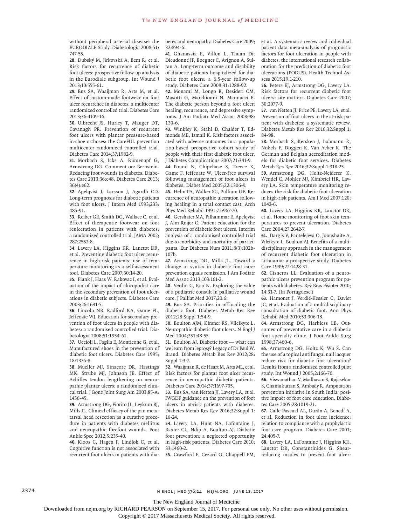without peripheral arterial disease: the EURODIALE Study. Diabetologia 2008;51: 747-55.

**28.** Dubský M, Jirkovská A, Bem R, et al. Risk factors for recurrence of diabetic foot ulcers: prospective follow-up analysis in the Eurodiale subgroup. Int Wound J 2013;10:555-61.

**29.** Bus SA, Waaijman R, Arts M, et al. Effect of custom-made footwear on foot ulcer recurrence in diabetes: a multicenter randomized controlled trial. Diabetes Care 2013;36:4109-16.

**30.** Ulbrecht JS, Hurley T, Mauger DT, Cavanagh PR. Prevention of recurrent foot ulcers with plantar pressure-based in-shoe orthoses: the CareFUL prevention multicenter randomized controlled trial. Diabetes Care 2014;37:1982-9.

**31.** Morbach S, Icks A, Rümenapf G, Armstrong DG. Comment on: Bernstein. Reducing foot wounds in diabetes. Diabetes Care 2013;36:e48. Diabetes Care 2013; 36(4):e62.

**32.** Apelqvist J, Larsson J, Agardh CD. Long-term prognosis for diabetic patients with foot ulcers. J Intern Med 1993;233: 485-91.

**33.** Reiber GE, Smith DG, Wallace C, et al. Effect of therapeutic footwear on foot reulceration in patients with diabetes: a randomized controlled trial. JAMA 2002; 287:2552-8.

**34.** Lavery LA, Higgins KR, Lanctot DR, et al. Preventing diabetic foot ulcer recurrence in high-risk patients: use of temperature monitoring as a self-assessment tool. Diabetes Care 2007;30:14-20.

**35.** Plank J, Haas W, Rakovac I, et al. Evaluation of the impact of chiropodist care in the secondary prevention of foot ulcerations in diabetic subjects. Diabetes Care 2003;26:1691-5.

**36.** Lincoln NB, Radford KA, Game FL, Jeffcoate WJ. Education for secondary prevention of foot ulcers in people with diabetes: a randomised controlled trial. Diabetologia 2008;51:1954-61.

**37.** Uccioli L, Faglia E, Monticone G, et al. Manufactured shoes in the prevention of diabetic foot ulcers. Diabetes Care 1995; 18:1376-8.

**38.** Mueller MJ, Sinacore DR, Hastings MK, Strube MJ, Johnson JE. Effect of Achilles tendon lengthening on neuropathic plantar ulcers: a randomized clinical trial. J Bone Joint Surg Am 2003;85-A: 1436-45.

**39.** Armstrong DG, Fiorito JL, Leykum BJ, Mills JL. Clinical efficacy of the pan metatarsal head resection as a curative procedure in patients with diabetes mellitus and neuropathic forefoot wounds. Foot Ankle Spec 2012;5:235-40.

**40.** Kloos C, Hagen F, Lindloh C, et al. Cognitive function is not associated with recurrent foot ulcers in patients with diabetes and neuropathy. Diabetes Care 2009; 32:894-6.

**41.** Ghanassia E, Villon L, Thuan Dit Dieudonné JF, Boegner C, Avignon A, Sultan A. Long-term outcome and disability of diabetic patients hospitalized for diabetic foot ulcers: a 6.5-year follow-up study. Diabetes Care 2008;31:1288-92.

**42.** Monami M, Longo R, Desideri CM, Masotti G, Marchionni N, Mannucci E. The diabetic person beyond a foot ulcer: healing, recurrence, and depressive symptoms. J Am Podiatr Med Assoc 2008;98: 130-6.

**43.** Winkley K, Stahl D, Chalder T, Edmonds ME, Ismail K. Risk factors associated with adverse outcomes in a population-based prospective cohort study of people with their first diabetic foot ulcer. J Diabetes Complications 2007;21:341-9.

**44.** Pound N, Chipchase S, Treece K, Game F, Jeffcoate W. Ulcer-free survival following management of foot ulcers in diabetes. Diabet Med 2005;22:1306-9.

**45.** Helm PA, Walker SC, Pullium GF. Recurrence of neuropathic ulceration following healing in a total contact cast. Arch Phys Med Rehabil 1991;72:967-70.

**46.** Gershater MA, Pilhammar E, Apelqvist J, Alm Roijer C. Patient education for the prevention of diabetic foot ulcers. Interim analysis of a randomised controlled trial due to morbidity and mortality of participants. Eur Diabetes Nurs 2011;8(3):102b-107b.

**47.** Armstrong DG, Mills JL. Toward a change in syntax in diabetic foot care: prevention equals remission. J Am Podiatr Med Assoc 2013;103:161-2.

**48.** Verdin C, Rao N. Exploring the value of a podiatric consult in palliative wound care. J Palliat Med 2017;20:6.

**49.** Bus SA. Priorities in offloading the diabetic foot. Diabetes Metab Res Rev 2012;28:Suppl 1:54-9.

**50.** Boulton AJM, Kirsner RS, Vileikyte L. Neuropathic diabetic foot ulcers. N Engl J Med 2004;351:48-55.

**51.** Boulton AJ. Diabetic foot — what can we learn from leprosy? Legacy of Dr Paul W. Brand. Diabetes Metab Res Rev 2012;28: Suppl 1:3-7.

**52.** Waaijman R, de Haart M, Arts ML, et al. Risk factors for plantar foot ulcer recurrence in neuropathic diabetic patients. Diabetes Care 2014;37:1697-705.

**53.** Bus SA, van Netten JJ, Lavery LA, et al. IWGDF guidance on the prevention of foot ulcers in at-risk patients with diabetes. Diabetes Metab Res Rev 2016;32:Suppl 1: 16-24.

**54.** Lavery LA, Hunt NA, Lafontaine J, Baxter CL, Ndip A, Boulton AJ. Diabetic foot prevention: a neglected opportunity in high-risk patients. Diabetes Care 2010; 33:1460-2.

**55.** Crawford F, Cezard G, Chappell FM,

et al. A systematic review and individual patient data meta-analysis of prognostic factors for foot ulceration in people with diabetes: the international research collaboration for the prediction of diabetic foot ulcerations (PODUS). Health Technol Assess 2015;19:1-210.

**56.** Peters EJ, Armstrong DG, Lavery LA. Risk factors for recurrent diabetic foot ulcers: site matters. Diabetes Care 2007; 30:2077-9.

**57.** van Netten JJ, Price PE, Lavery LA, et al. Prevention of foot ulcers in the at-risk patient with diabetes: a systematic review. Diabetes Metab Res Rev 2016;32:Suppl 1: 84-98.

**58.** Morbach S, Kersken J, Lobmann R, Nobels F, Doggen K, Van Acker K. The German and Belgian accreditation models for diabetic foot services. Diabetes Metab Res Rev 2016;32:Suppl 1:318-25.

**59.** Armstrong DG, Holtz-Neiderer K, Wendel C, Mohler MJ, Kimbriel HR, Lavery LA. Skin temperature monitoring reduces the risk for diabetic foot ulceration in high-risk patients. Am J Med 2007;120: 1042-6.

**60.** Lavery LA, Higgins KR, Lanctot DR, et al. Home monitoring of foot skin temperatures to prevent ulceration. Diabetes Care 2004;27:2642-7.

**61.** Dargis V, Pantelejeva O, Jonushaite A, Vileikyte L, Boulton AJ. Benefits of a multidisciplinary approach in the management of recurrent diabetic foot ulceration in Lithuania: a prospective study. Diabetes Care 1999;22:1428-31.

**62.** Cisneros LL. Evaluation of a neuropathic ulcers prevention program for patients with diabetes. Rev Bras Fisioter 2010; 14:31-7. (In Portuguese.)

**63.** Hamonet J, Verdié-Kessler C, Daviet JC, et al. Evaluation of a multidisciplinary consultation of diabetic foot. Ann Phys Rehabil Med 2010;53:306-18.

**64.** Armstrong DG, Harkless LB. Outcomes of preventative care in a diabetic foot specialty clinic. J Foot Ankle Surg 1998;37:460-6.

**65.** Armstrong DG, Holtz K, Wu S. Can the use of a topical antifungal nail lacquer reduce risk for diabetic foot ulceration? Results from a randomised controlled pilot study. Int Wound J 2005;2:166-70.

**66.** Viswanathan V, Madhavan S, Rajasekar S, Chamukuttan S, Ambady R. Amputation prevention initiative in South India: positive impact of foot care education. Diabetes Care 2005;28:1019-21.

**67.** Calle-Pascual AL, Durán A, Benedí A, et al. Reduction in foot ulcer incidence: relation to compliance with a prophylactic foot care program. Diabetes Care 2001; 24:405-7.

**68.** Lavery LA, LaFontaine J, Higgins KR, Lanctot DR, Constantinides G. Shearreducing insoles to prevent foot ulcer-

2374 **NET STARE 2374** NEWSLIMED 376;24 NEIM.ORG JUNE 15, 2017

The New England Journal of Medicine

Downloaded from nejm.org by RICHARD PEARSON on September 15, 2017. For personal use only. No other uses without permission.